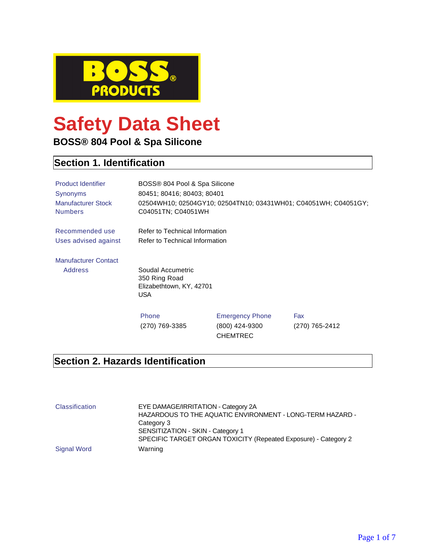

# **Safety Data Sheet**

**BOSS® 804 Pool & Spa Silicone**

# **Section 1. Identification**

| <b>Product Identifier</b><br><b>Synonyms</b><br><b>Manufacturer Stock</b><br><b>Numbers</b> | BOSS® 804 Pool & Spa Silicone<br>80451; 80416; 80403; 80401<br>C04051TN; C04051WH |                                                             | 02504WH10; 02504GY10; 02504TN10; 03431WH01; C04051WH; C04051GY; |
|---------------------------------------------------------------------------------------------|-----------------------------------------------------------------------------------|-------------------------------------------------------------|-----------------------------------------------------------------|
| Recommended use<br>Uses advised against                                                     | Refer to Technical Information<br>Refer to Technical Information                  |                                                             |                                                                 |
| <b>Manufacturer Contact</b><br><b>Address</b>                                               | Soudal Accumetric                                                                 |                                                             |                                                                 |
|                                                                                             | 350 Ring Road<br>Elizabethtown, KY, 42701<br><b>USA</b>                           |                                                             |                                                                 |
|                                                                                             | Phone<br>(270) 769-3385                                                           | <b>Emergency Phone</b><br>(800) 424-9300<br><b>CHEMTREC</b> | Fax<br>(270) 765-2412                                           |

#### **Section 2. Hazards Identification**

| <b>Classification</b> | EYE DAMAGE/IRRITATION - Category 2A<br>HAZARDOUS TO THE AQUATIC ENVIRONMENT - LONG-TERM HAZARD -<br>Category 3<br>SENSITIZATION - SKIN - Category 1<br>SPECIFIC TARGET ORGAN TOXICITY (Repeated Exposure) - Category 2 |
|-----------------------|------------------------------------------------------------------------------------------------------------------------------------------------------------------------------------------------------------------------|
| Signal Word           | Warning                                                                                                                                                                                                                |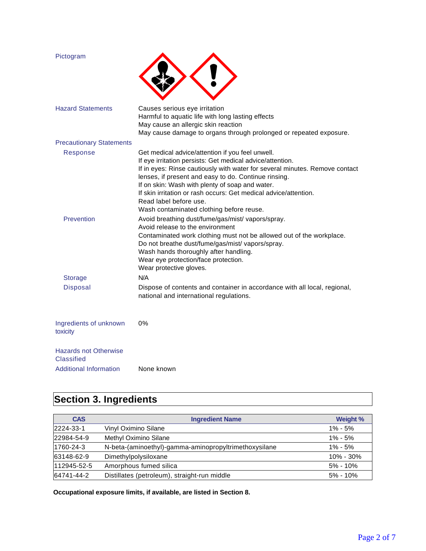| Pictogram                                  |                                                                                                                                                                                                                                                                                                                                                                                                                                                   |
|--------------------------------------------|---------------------------------------------------------------------------------------------------------------------------------------------------------------------------------------------------------------------------------------------------------------------------------------------------------------------------------------------------------------------------------------------------------------------------------------------------|
| <b>Hazard Statements</b>                   | Causes serious eye irritation<br>Harmful to aquatic life with long lasting effects<br>May cause an allergic skin reaction<br>May cause damage to organs through prolonged or repeated exposure.                                                                                                                                                                                                                                                   |
| <b>Precautionary Statements</b>            |                                                                                                                                                                                                                                                                                                                                                                                                                                                   |
| Response                                   | Get medical advice/attention if you feel unwell.<br>If eye irritation persists: Get medical advice/attention.<br>If in eyes: Rinse cautiously with water for several minutes. Remove contact<br>lenses, if present and easy to do. Continue rinsing.<br>If on skin: Wash with plenty of soap and water.<br>If skin irritation or rash occurs: Get medical advice/attention.<br>Read label before use.<br>Wash contaminated clothing before reuse. |
| Prevention                                 | Avoid breathing dust/fume/gas/mist/ vapors/spray.<br>Avoid release to the environment<br>Contaminated work clothing must not be allowed out of the workplace.<br>Do not breathe dust/fume/gas/mist/ vapors/spray.<br>Wash hands thoroughly after handling.<br>Wear eye protection/face protection.<br>Wear protective gloves.                                                                                                                     |
| <b>Storage</b>                             | N/A                                                                                                                                                                                                                                                                                                                                                                                                                                               |
| <b>Disposal</b>                            | Dispose of contents and container in accordance with all local, regional,<br>national and international regulations.                                                                                                                                                                                                                                                                                                                              |
| Ingredients of unknown<br>toxicity         | 0%                                                                                                                                                                                                                                                                                                                                                                                                                                                |
| <b>Hazards not Otherwise</b><br>Classified |                                                                                                                                                                                                                                                                                                                                                                                                                                                   |
| <b>Additional Information</b>              | None known                                                                                                                                                                                                                                                                                                                                                                                                                                        |

# **Section 3. Ingredients**

| <b>CAS</b>  | <b>Ingredient Name</b>                                | Weight %      |
|-------------|-------------------------------------------------------|---------------|
| 2224-33-1   | Vinyl Oximino Silane                                  | $1\% - 5\%$   |
| 22984-54-9  | Methyl Oximino Silane                                 | $1\% - 5\%$   |
| 1760-24-3   | N-beta-(aminoethyl)-gamma-aminopropyltrimethoxysilane | $1\% - 5\%$   |
| 63148-62-9  | Dimethylpolysiloxane                                  | $10\% - 30\%$ |
| 112945-52-5 | Amorphous fumed silica                                | $5\% - 10\%$  |
| 64741-44-2  | Distillates (petroleum), straight-run middle          | $5\% - 10\%$  |

**Occupational exposure limits, if available, are listed in Section 8.**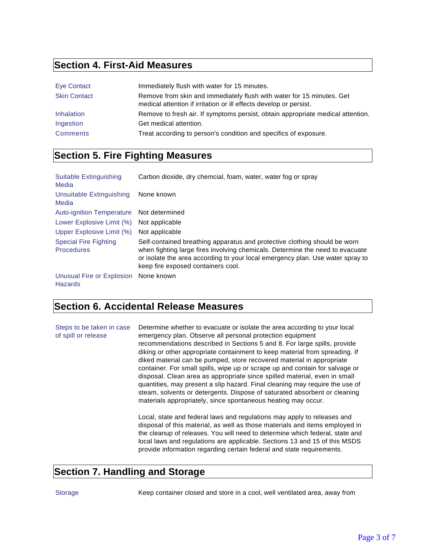### **Section 4. First-Aid Measures**

| Eye Contact         | Immediately flush with water for 15 minutes.                                                                                                |
|---------------------|---------------------------------------------------------------------------------------------------------------------------------------------|
| <b>Skin Contact</b> | Remove from skin and immediately flush with water for 15 minutes. Get<br>medical attention if irritation or ill effects develop or persist. |
| Inhalation          | Remove to fresh air. If symptoms persist, obtain appropriate medical attention.                                                             |
| Ingestion           | Get medical attention.                                                                                                                      |
| <b>Comments</b>     | Treat according to person's condition and specifics of exposure.                                                                            |

# **Section 5. Fire Fighting Measures**

| Suitable Extinguishing<br>Media                   | Carbon dioxide, dry chemcial, foam, water, water fog or spray                                                                                                                                                                                                                      |
|---------------------------------------------------|------------------------------------------------------------------------------------------------------------------------------------------------------------------------------------------------------------------------------------------------------------------------------------|
| Unsuitable Extinguishing<br>Media                 | None known                                                                                                                                                                                                                                                                         |
| <b>Auto-ignition Temperature</b>                  | Not determined                                                                                                                                                                                                                                                                     |
| Lower Explosive Limit (%)                         | Not applicable                                                                                                                                                                                                                                                                     |
| Upper Explosive Limit (%)                         | Not applicable                                                                                                                                                                                                                                                                     |
| <b>Special Fire Fighting</b><br><b>Procedures</b> | Self-contained breathing apparatus and protective clothing should be worn<br>when fighting large fires involving chemicals. Determine the need to evacuate<br>or isolate the area according to your local emergency plan. Use water spray to<br>keep fire exposed containers cool. |
| Unusual Fire or Explosion<br><b>Hazards</b>       | None known                                                                                                                                                                                                                                                                         |

#### **Section 6. Accidental Release Measures**

| Steps to be taken in case<br>of spill or release | Determine whether to evacuate or isolate the area according to your local<br>emergency plan. Observe all personal protection equipment<br>recommendations described in Sections 5 and 8. For large spills, provide<br>diking or other appropriate containment to keep material from spreading. If<br>diked material can be pumped, store recovered material in appropriate<br>container. For small spills, wipe up or scrape up and contain for salvage or<br>disposal. Clean area as appropriate since spilled material, even in small<br>quantities, may present a slip hazard. Final cleaning may require the use of<br>steam, solvents or detergents. Dispose of saturated absorbent or cleaning<br>materials appropriately, since spontaneous heating may occur. |
|--------------------------------------------------|-----------------------------------------------------------------------------------------------------------------------------------------------------------------------------------------------------------------------------------------------------------------------------------------------------------------------------------------------------------------------------------------------------------------------------------------------------------------------------------------------------------------------------------------------------------------------------------------------------------------------------------------------------------------------------------------------------------------------------------------------------------------------|
|                                                  | Local, state and federal laws and regulations may apply to releases and<br>disposal of this material, as well as those materials and items employed in<br>the cleanup of releases. You will need to determine which federal, state and<br>local laws and regulations are applicable. Sections 13 and 15 of this MSDS<br>provide information regarding certain federal and state requirements.                                                                                                                                                                                                                                                                                                                                                                         |

#### **Section 7. Handling and Storage**

Storage Keep container closed and store in a cool, well ventilated area, away from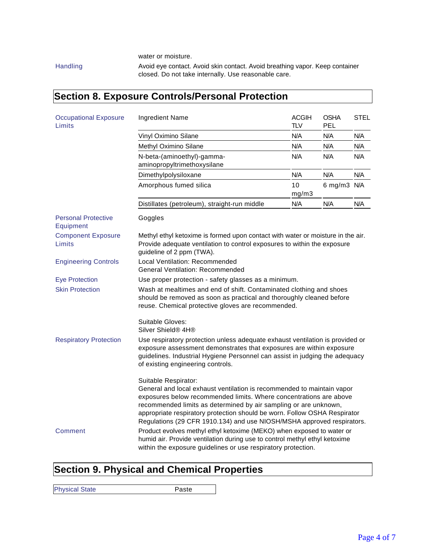water or moisture.

Handling **Avoid eye contact. Avoid skin contact. Avoid breathing vapor. Keep container** closed. Do not take internally. Use reasonable care.

#### **Section 8. Exposure Controls/Personal Protection** Occupational Exposure **Limits** Ingredient Name ACGIH TLV OSHA PEL STEL Vinyl Oximino Silane N/A N/A N/A N/A Methyl Oximino Silane N/A N/A N/A N/A N-beta-(aminoethyl)-gammaaminopropyltrimethoxysilane N/A N/A N/A Dimethylpolysiloxane N/A N/A N/A N/A Amorphous fumed silica 10 mg/m3 6 mg/m3 N/A Distillates (petroleum), straight-run middle N/A N/A N/A Personal Protective Equipment Goggles Component Exposure Limits Methyl ethyl ketoxime is formed upon contact with water or moisture in the air. Provide adequate ventilation to control exposures to within the exposure guideline of 2 ppm (TWA). Engineering Controls Local Ventilation: Recommended General Ventilation: Recommended Eye Protection Use proper protection - safety glasses as a minimum. Skin Protection Wash at mealtimes and end of shift. Contaminated clothing and shoes should be removed as soon as practical and thoroughly cleaned before reuse. Chemical protective gloves are recommended. Suitable Gloves: Silver Shield® 4H® Respiratory Protection Use respiratory protection unless adequate exhaust ventilation is provided or exposure assessment demonstrates that exposures are within exposure guidelines. Industrial Hygiene Personnel can assist in judging the adequacy of existing engineering controls. Suitable Respirator: General and local exhaust ventilation is recommended to maintain vapor exposures below recommended limits. Where concentrations are above recommended limits as determined by air sampling or are unknown, appropriate respiratory protection should be worn. Follow OSHA Respirator Regulations (29 CFR 1910.134) and use NIOSH/MSHA approved respirators. Comment Product evolves methyl ethyl ketoxime (MEKO) when exposed to water or humid air. Provide ventilation during use to control methyl ethyl ketoxime within the exposure guidelines or use respiratory protection.

#### **Section 9. Physical and Chemical Properties**

Physical State **Paste** Paste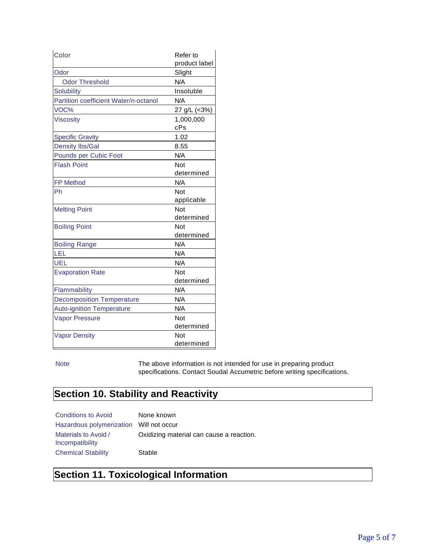| Color                                 | Refer to         |
|---------------------------------------|------------------|
|                                       | product label    |
| Odor                                  | Slight           |
| <b>Odor Threshold</b>                 | N/A              |
| <b>Solubility</b>                     | Insoluble        |
| Partition coefficient Water/n-octanol | N/A              |
| VOC%                                  | 27 g/L (<3%)     |
| <b>Viscosity</b>                      | 1,000,000<br>cPs |
| <b>Specific Gravity</b>               | 1.02             |
| <b>Density Ibs/Gal</b>                | 8.55             |
| Pounds per Cubic Foot                 | N/A              |
| <b>Flash Point</b>                    | Not              |
|                                       | determined       |
| <b>FP Method</b>                      | N/A              |
| Ph                                    | <b>Not</b>       |
|                                       | applicable       |
| <b>Melting Point</b>                  | Not              |
|                                       | determined       |
| <b>Boiling Point</b>                  | Not              |
|                                       | determined       |
| <b>Boiling Range</b>                  | N/A              |
| LEL                                   | N/A              |
| UEL                                   | N/A              |
| <b>Evaporation Rate</b>               | Not              |
|                                       | determined       |
| Flammability                          | N/A              |
| <b>Decomposition Temperature</b>      | N/A              |
| <b>Auto-ignition Temperature</b>      | N/A              |
| <b>Vapor Pressure</b>                 | <b>Not</b>       |
|                                       | determined       |
| <b>Vapor Density</b>                  | Not              |
|                                       | determined       |

Note The above information is not intended for use in preparing product specifications. Contact Soudal Accumetric before writing specifications.

#### **Section 10. Stability and Reactivity**

| <b>Conditions to Avoid</b>              | None known                               |
|-----------------------------------------|------------------------------------------|
| Hazardous polymerization Will not occur |                                          |
| Materials to Avoid /<br>Incompatibility | Oxidizing material can cause a reaction. |
| <b>Chemical Stability</b>               | Stable                                   |

# **Section 11. Toxicological Information**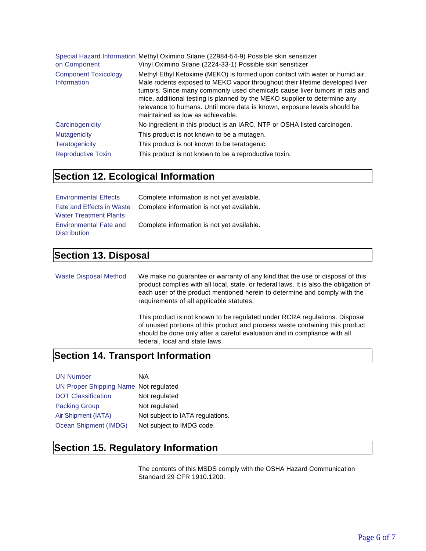| on Component                               | Special Hazard Information Methyl Oximino Silane (22984-54-9) Possible skin sensitizer<br>Vinyl Oximino Silane (2224-33-1) Possible skin sensitizer                                                                                                                                                                                                                                                                                    |
|--------------------------------------------|----------------------------------------------------------------------------------------------------------------------------------------------------------------------------------------------------------------------------------------------------------------------------------------------------------------------------------------------------------------------------------------------------------------------------------------|
| <b>Component Toxicology</b><br>Information | Methyl Ethyl Ketoxime (MEKO) is formed upon contact with water or humid air.<br>Male rodents exposed to MEKO vapor throughout their lifetime developed liver<br>tumors. Since many commonly used chemicals cause liver tumors in rats and<br>mice, additional testing is planned by the MEKO supplier to determine any<br>relevance to humans. Until more data is known, exposure levels should be<br>maintained as low as achievable. |
| Carcinogenicity                            | No ingredient in this product is an IARC, NTP or OSHA listed carcinogen.                                                                                                                                                                                                                                                                                                                                                               |
| <b>Mutagenicity</b>                        | This product is not known to be a mutagen.                                                                                                                                                                                                                                                                                                                                                                                             |
| <b>Teratogenicity</b>                      | This product is not known to be teratogenic.                                                                                                                                                                                                                                                                                                                                                                                           |
| <b>Reproductive Toxin</b>                  | This product is not known to be a reproductive toxin.                                                                                                                                                                                                                                                                                                                                                                                  |

#### **Section 12. Ecological Information**

| <b>Environmental Effects</b>  | Complete information is not yet available.                           |
|-------------------------------|----------------------------------------------------------------------|
|                               | Fate and Effects in Waste Complete information is not yet available. |
| <b>Water Treatment Plants</b> |                                                                      |
| <b>Environmental Fate and</b> | Complete information is not yet available.                           |
| <b>Distribution</b>           |                                                                      |

#### **Section 13. Disposal**

Waste Disposal Method We make no guarantee or warranty of any kind that the use or disposal of this product complies with all local, state, or federal laws. It is also the obligation of each user of the product mentioned herein to determine and comply with the requirements of all applicable statutes.

> This product is not known to be regulated under RCRA regulations. Disposal of unused portions of this product and process waste containing this product should be done only after a careful evaluation and in compliance with all federal, local and state laws.

#### **Section 14. Transport Information**

| <b>UN Number</b>                      | N/A                              |
|---------------------------------------|----------------------------------|
| UN Proper Shipping Name Not regulated |                                  |
| <b>DOT Classification</b>             | Not regulated                    |
| <b>Packing Group</b>                  | Not regulated                    |
| Air Shipment (IATA)                   | Not subject to IATA regulations. |
| Ocean Shipment (IMDG)                 | Not subject to IMDG code.        |

#### **Section 15. Regulatory Information**

The contents of this MSDS comply with the OSHA Hazard Communication Standard 29 CFR 1910.1200.